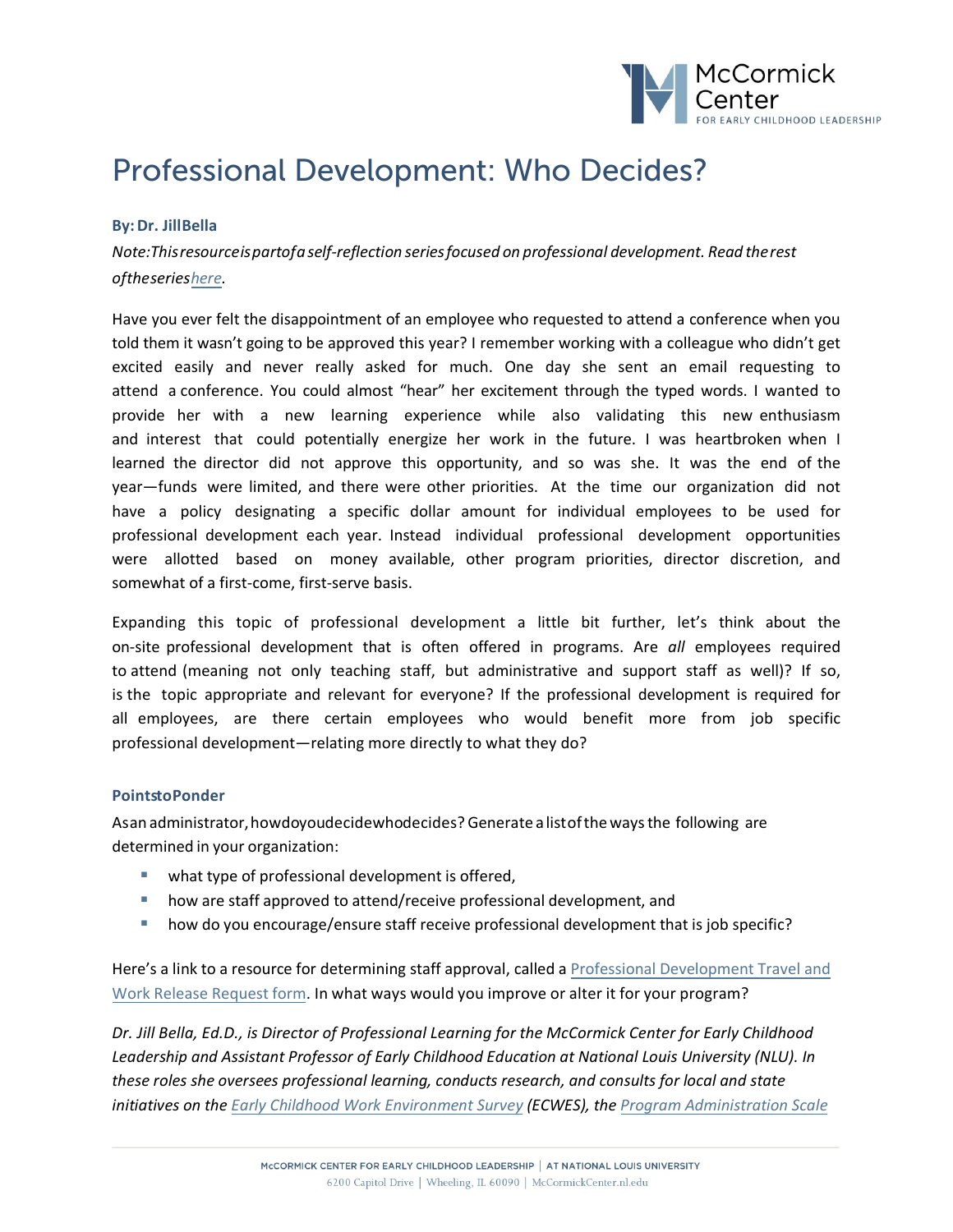

## Professional Development: Who Decides?

## **By:Dr. JillBella**

*Note:Thisresourceispartofaself-reflection seriesfocused on professional development. Read therest oftheseries[here.](https://mccormickcenter.nl.edu/library-tag/series-points-to-ponder/)* 

Have you ever felt the disappointment of an employee who requested to attend a conference when you told them it wasn't going to be approved this year? I remember working with a colleague who didn't get excited easily and never really asked for much. One day she sent an email requesting to attend a conference. You could almost "hear" her excitement through the typed words. I wanted to provide her with a new learning experience while also validating this new enthusiasm and interest that could potentially energize her work in the future. I was heartbroken when I learned the director did not approve this opportunity, and so was she. It was the end of the year—funds were limited, and there were other priorities. At the time our organization did not have a policy designating a specific dollar amount for individual employees to be used for professional development each year. Instead individual professional development opportunities were allotted based on money available, other program priorities, director discretion, and somewhat of a first-come, first-serve basis.

Expanding this topic of professional development a little bit further, let's think about the on-site professional development that is often offered in programs. Are *all* employees required to attend (meaning not only teaching staff, but administrative and support staff as well)? If so, is the topic appropriate and relevant for everyone? If the professional development is required for all employees, are there certain employees who would benefit more from job specific professional development—relating more directly to what they do?

## **PointstoPonder**

Asan administrator,howdoyoudecidewhodecides? Generate alistofthe waysthe following are determined in your organization:

- what type of professional development is offered,
- how are staff approved to attend/receive professional development, and
- how do you encourage/ensure staff receive professional development that is job specific?

Here's a link to a resource for determining staff approval, called a Professional [Development](https://mccormickcenter.nl.edu/wp-content/uploads/2018/09/2018-08-29_PD-Request_02.pdf) Travel and [Work Release](https://mccormickcenter.nl.edu/wp-content/uploads/2018/09/2018-08-29_PD-Request_02.pdf) Request form. In what ways would you improve or alter it for your program?

*Dr. Jill Bella, Ed.D., is Director of Professional Learning for the McCormick Center for Early Childhood Leadership and Assistant Professor of Early Childhood Education at National Louis University (NLU). In these roles she oversees professional learning, conducts research, and consults for local and state initiatives on the Early Childhood Work [Environment](https://mccormickcenter.nl.edu/library/the-early-childhood-work-environment-survey-ecwes/) Survey (ECWES), the Program [Administration](https://mccormickcenter.nl.edu/library/program-administration-scale-pas-2nd-ed/) Scale*